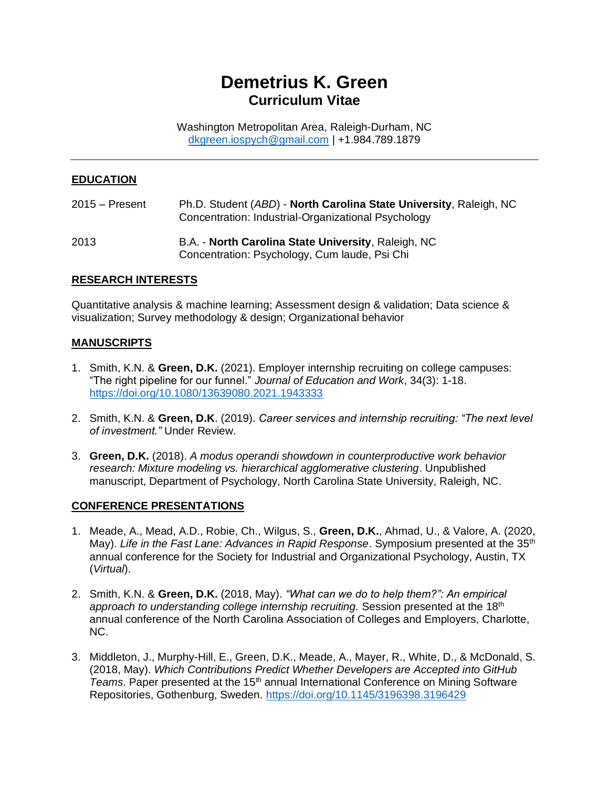# **Demetrius K. Green Curriculum Vitae**

Washington Metropolitan Area, Raleigh-Durham, NC [dkgreen.iospych@gmail.com](mailto:dkgreen.iospych@gmail.com) | +1.984.789.1879

#### **EDUCATION**

| $2015 -$ Present | Ph.D. Student (ABD) - North Carolina State University, Raleigh, NC<br>Concentration: Industrial-Organizational Psychology |
|------------------|---------------------------------------------------------------------------------------------------------------------------|
| 2013             | B.A. - North Carolina State University, Raleigh, NC<br>Concentration: Psychology, Cum laude, Psi Chi                      |

#### **RESEARCH INTERESTS**

Quantitative analysis & machine learning; Assessment design & validation; Data science & visualization; Survey methodology & design; Organizational behavior

#### **MANUSCRIPTS**

- 1. Smith, K.N. & **Green, D.K.** (2021). Employer internship recruiting on college campuses: "The right pipeline for our funnel." *Journal of Education and Work*, 34(3): 1-18. <https://doi.org/10.1080/13639080.2021.1943333>
- 2. Smith, K.N. & **Green, D.K**. (2019). *Career services and internship recruiting: "The next level of investment."* Under Review.
- 3. **Green, D.K.** (2018). *A modus operandi showdown in counterproductive work behavior research: Mixture modeling vs. hierarchical agglomerative clustering*. Unpublished manuscript, Department of Psychology, North Carolina State University, Raleigh, NC.

#### **CONFERENCE PRESENTATIONS**

- 1. Meade, A., Mead, A.D., Robie, Ch., Wilgus, S., **Green, D.K.**, Ahmad, U., & Valore, A. (2020, May). *Life in the Fast Lane: Advances in Rapid Response*. Symposium presented at the 35<sup>th</sup> annual conference for the Society for Industrial and Organizational Psychology, Austin, TX (*Virtual*).
- 2. Smith, K.N. & **Green, D.K.** (2018, May). *"What can we do to help them?": An empirical*  approach to understanding college internship recruiting. Session presented at the 18<sup>th</sup> annual conference of the North Carolina Association of Colleges and Employers, Charlotte, NC.
- 3. Middleton, J., Murphy-Hill, E., Green, D.K., Meade, A., Mayer, R., White, D., & McDonald, S. (2018, May). *Which Contributions Predict Whether Developers are Accepted into GitHub Teams*. Paper presented at the 15<sup>th</sup> annual International Conference on Mining Software Repositories, Gothenburg, Sweden.<https://doi.org/10.1145/3196398.3196429>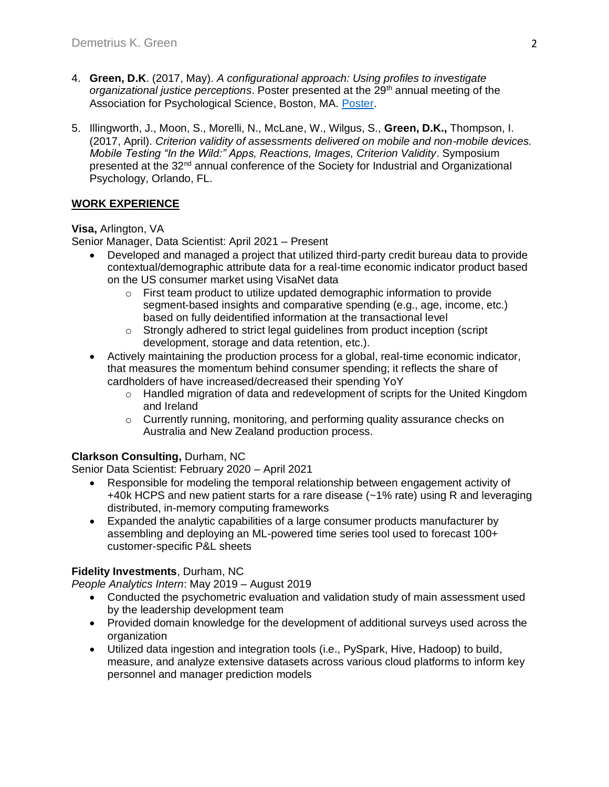- 4. **Green, D.K**. (2017, May). *A configurational approach: Using profiles to investigate organizational justice perceptions*. Poster presented at the 29th annual meeting of the Association for Psychological Science, Boston, MA. [Poster.](https://www.researchgate.net/publication/317415264_A_configurational_approach_Using_profiles_to_investigate_organizational_justice_perceptions)
- 5. Illingworth, J., Moon, S., Morelli, N., McLane, W., Wilgus, S., **Green, D.K.,** Thompson, I. (2017, April). *Criterion validity of assessments delivered on mobile and non-mobile devices. Mobile Testing "In the Wild:" Apps, Reactions, Images, Criterion Validity*. Symposium presented at the 32<sup>nd</sup> annual conference of the Society for Industrial and Organizational Psychology, Orlando, FL.

# **WORK EXPERIENCE**

**Visa,** Arlington, VA

Senior Manager, Data Scientist: April 2021 – Present

- Developed and managed a project that utilized third-party credit bureau data to provide contextual/demographic attribute data for a real-time economic indicator product based on the US consumer market using VisaNet data
	- $\circ$  First team product to utilize updated demographic information to provide segment-based insights and comparative spending (e.g., age, income, etc.) based on fully deidentified information at the transactional level
	- o Strongly adhered to strict legal guidelines from product inception (script development, storage and data retention, etc.).
- Actively maintaining the production process for a global, real-time economic indicator, that measures the momentum behind consumer spending; it reflects the share of cardholders of have increased/decreased their spending YoY
	- o Handled migration of data and redevelopment of scripts for the United Kingdom and Ireland
	- $\circ$  Currently running, monitoring, and performing quality assurance checks on Australia and New Zealand production process.

# **Clarkson Consulting,** Durham, NC

Senior Data Scientist: February 2020 – April 2021

- Responsible for modeling the temporal relationship between engagement activity of +40k HCPS and new patient starts for a rare disease (~1% rate) using R and leveraging distributed, in-memory computing frameworks
- Expanded the analytic capabilities of a large consumer products manufacturer by assembling and deploying an ML-powered time series tool used to forecast 100+ customer-specific P&L sheets

# **Fidelity Investments**, Durham, NC

*People Analytics Intern*: May 2019 – August 2019

- Conducted the psychometric evaluation and validation study of main assessment used by the leadership development team
- Provided domain knowledge for the development of additional surveys used across the organization
- Utilized data ingestion and integration tools (i.e., PySpark, Hive, Hadoop) to build, measure, and analyze extensive datasets across various cloud platforms to inform key personnel and manager prediction models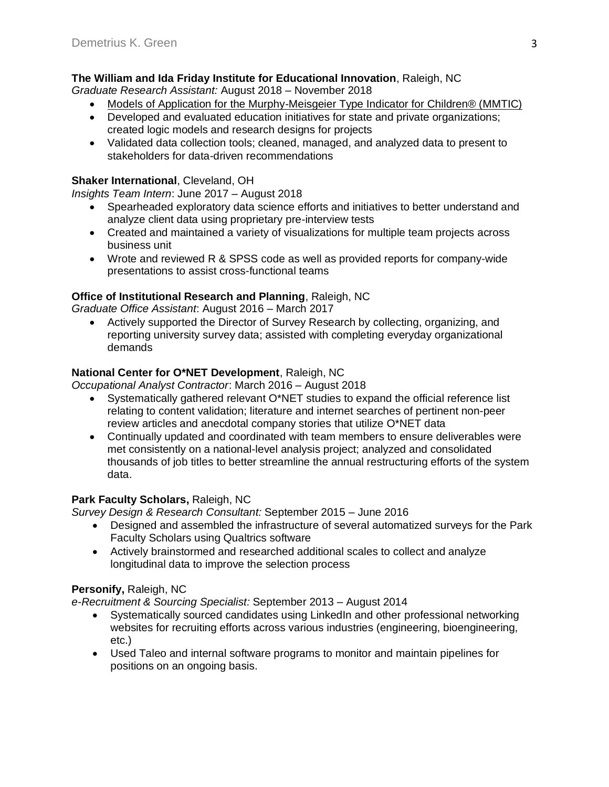# **The William and Ida Friday Institute for Educational Innovation**, Raleigh, NC

*Graduate Research Assistant:* August 2018 – November 2018

- Models of Application for the Murphy-Meisgeier Type Indicator for Children® (MMTIC)
- Developed and evaluated education initiatives for state and private organizations; created logic models and research designs for projects
- Validated data collection tools; cleaned, managed, and analyzed data to present to stakeholders for data-driven recommendations

## **Shaker International**, Cleveland, OH

*Insights Team Intern*: June 2017 – August 2018

- Spearheaded exploratory data science efforts and initiatives to better understand and analyze client data using proprietary pre-interview tests
- Created and maintained a variety of visualizations for multiple team projects across business unit
- Wrote and reviewed R & SPSS code as well as provided reports for company-wide presentations to assist cross-functional teams

# **Office of Institutional Research and Planning**, Raleigh, NC

*Graduate Office Assistant*: August 2016 – March 2017

• Actively supported the Director of Survey Research by collecting, organizing, and reporting university survey data; assisted with completing everyday organizational demands

# **National Center for O\*NET Development**, Raleigh, NC

*Occupational Analyst Contractor*: March 2016 – August 2018

- Systematically gathered relevant O\*NET studies to expand the official reference list relating to content validation; literature and internet searches of pertinent non-peer review articles and anecdotal company stories that utilize O\*NET data
- Continually updated and coordinated with team members to ensure deliverables were met consistently on a national-level analysis project; analyzed and consolidated thousands of job titles to better streamline the annual restructuring efforts of the system data.

## **Park Faculty Scholars,** Raleigh, NC

*Survey Design & Research Consultant:* September 2015 – June 2016

- Designed and assembled the infrastructure of several automatized surveys for the Park Faculty Scholars using Qualtrics software
- Actively brainstormed and researched additional scales to collect and analyze longitudinal data to improve the selection process

## **Personify,** Raleigh, NC

*e-Recruitment & Sourcing Specialist:* September 2013 – August 2014

- Systematically sourced candidates using LinkedIn and other professional networking websites for recruiting efforts across various industries (engineering, bioengineering, etc.)
- Used Taleo and internal software programs to monitor and maintain pipelines for positions on an ongoing basis.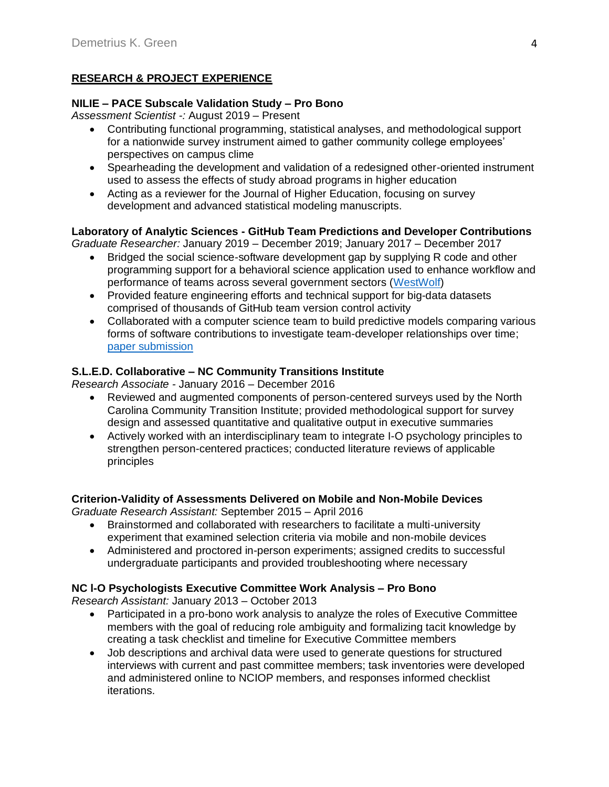# **RESEARCH & PROJECT EXPERIENCE**

## **NILIE – PACE Subscale Validation Study – Pro Bono**

*Assessment Scientist -:* August 2019 – Present

- Contributing functional programming, statistical analyses, and methodological support for a nationwide survey instrument aimed to gather community college employees' perspectives on campus clime
- Spearheading the development and validation of a redesigned other-oriented instrument used to assess the effects of study abroad programs in higher education
- Acting as a reviewer for the Journal of Higher Education, focusing on survey development and advanced statistical modeling manuscripts.

## **Laboratory of Analytic Sciences - GitHub Team Predictions and Developer Contributions**

*Graduate Researcher:* January 2019 – December 2019; January 2017 – December 2017

- Bridged the social science-software development gap by supplying R code and other programming support for a behavioral science application used to enhance workflow and performance of teams across several government sectors [\(WestWolf\)](https://ncsu-las.org/wp-content/uploads/2017/12/wilson-westwolf-17sym-v2.pdf)
- Provided feature engineering efforts and technical support for big-data datasets comprised of thousands of GitHub team version control activity
- Collaborated with a computer science team to build predictive models comparing various forms of software contributions to investigate team-developer relationships over time; [paper submission](https://www.researchgate.net/publication/326561398_Which_contributions_predict_whether_developers_are_accepted_into_github_teams)

# **S.L.E.D. Collaborative – NC Community Transitions Institute**

*Research Associate -* January 2016 – December 2016

- Reviewed and augmented components of person-centered surveys used by the North Carolina Community Transition Institute; provided methodological support for survey design and assessed quantitative and qualitative output in executive summaries
- Actively worked with an interdisciplinary team to integrate I-O psychology principles to strengthen person-centered practices; conducted literature reviews of applicable principles

# **Criterion-Validity of Assessments Delivered on Mobile and Non-Mobile Devices**

*Graduate Research Assistant:* September 2015 – April 2016

- Brainstormed and collaborated with researchers to facilitate a multi-university experiment that examined selection criteria via mobile and non-mobile devices
- Administered and proctored in-person experiments; assigned credits to successful undergraduate participants and provided troubleshooting where necessary

# **NC l-O Psychologists Executive Committee Work Analysis – Pro Bono**

*Research Assistant:* January 2013 – October 2013

- Participated in a pro-bono work analysis to analyze the roles of Executive Committee members with the goal of reducing role ambiguity and formalizing tacit knowledge by creating a task checklist and timeline for Executive Committee members
- Job descriptions and archival data were used to generate questions for structured interviews with current and past committee members; task inventories were developed and administered online to NCIOP members, and responses informed checklist iterations.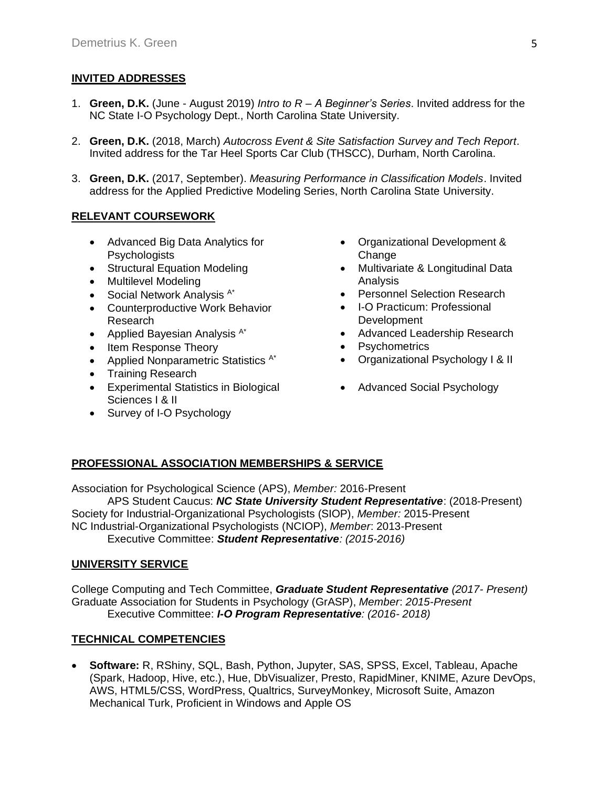#### **INVITED ADDRESSES**

- 1. **Green, D.K.** (June August 2019) *Intro to R – A Beginner's Series*. Invited address for the NC State I-O Psychology Dept., North Carolina State University.
- 2. **Green, D.K.** (2018, March) *Autocross Event & Site Satisfaction Survey and Tech Report*. Invited address for the Tar Heel Sports Car Club (THSCC), Durham, North Carolina.
- 3. **Green, D.K.** (2017, September). *Measuring Performance in Classification Models*. Invited address for the Applied Predictive Modeling Series, North Carolina State University.

#### **RELEVANT COURSEWORK**

- Advanced Big Data Analytics for **Psychologists**
- Structural Equation Modeling
- Multilevel Modeling
- Social Network Analysis  $A^*$
- Counterproductive Work Behavior Research
- Applied Bayesian Analysis  $A^*$
- Item Response Theory
- Applied Nonparametric Statistics <sup>A\*</sup>
- Training Research
- Experimental Statistics in Biological Sciences I & II
- Survey of I-O Psychology
- Organizational Development & **Change**
- Multivariate & Longitudinal Data Analysis
- Personnel Selection Research
- I-O Practicum: Professional Development
- Advanced Leadership Research
- Psychometrics
- Organizational Psychology I & II
- Advanced Social Psychology

# **PROFESSIONAL ASSOCIATION MEMBERSHIPS & SERVICE**

Association for Psychological Science (APS), *Member:* 2016-Present APS Student Caucus: *NC State University Student Representative*: (2018-Present) Society for Industrial-Organizational Psychologists (SIOP), *Member:* 2015-Present NC Industrial-Organizational Psychologists (NCIOP), *Member*: 2013-Present Executive Committee: *Student Representative: (2015-2016)*

#### **UNIVERSITY SERVICE**

College Computing and Tech Committee, *Graduate Student Representative (2017- Present)* Graduate Association for Students in Psychology (GrASP), *Member*: *2015-Present* Executive Committee: *I-O Program Representative: (2016- 2018)*

#### **TECHNICAL COMPETENCIES**

• **Software:** R, RShiny, SQL, Bash, Python, Jupyter, SAS, SPSS, Excel, Tableau, Apache (Spark, Hadoop, Hive, etc.), Hue, DbVisualizer, Presto, RapidMiner, KNIME, Azure DevOps, AWS, HTML5/CSS, WordPress, Qualtrics, SurveyMonkey, Microsoft Suite, Amazon Mechanical Turk, Proficient in Windows and Apple OS